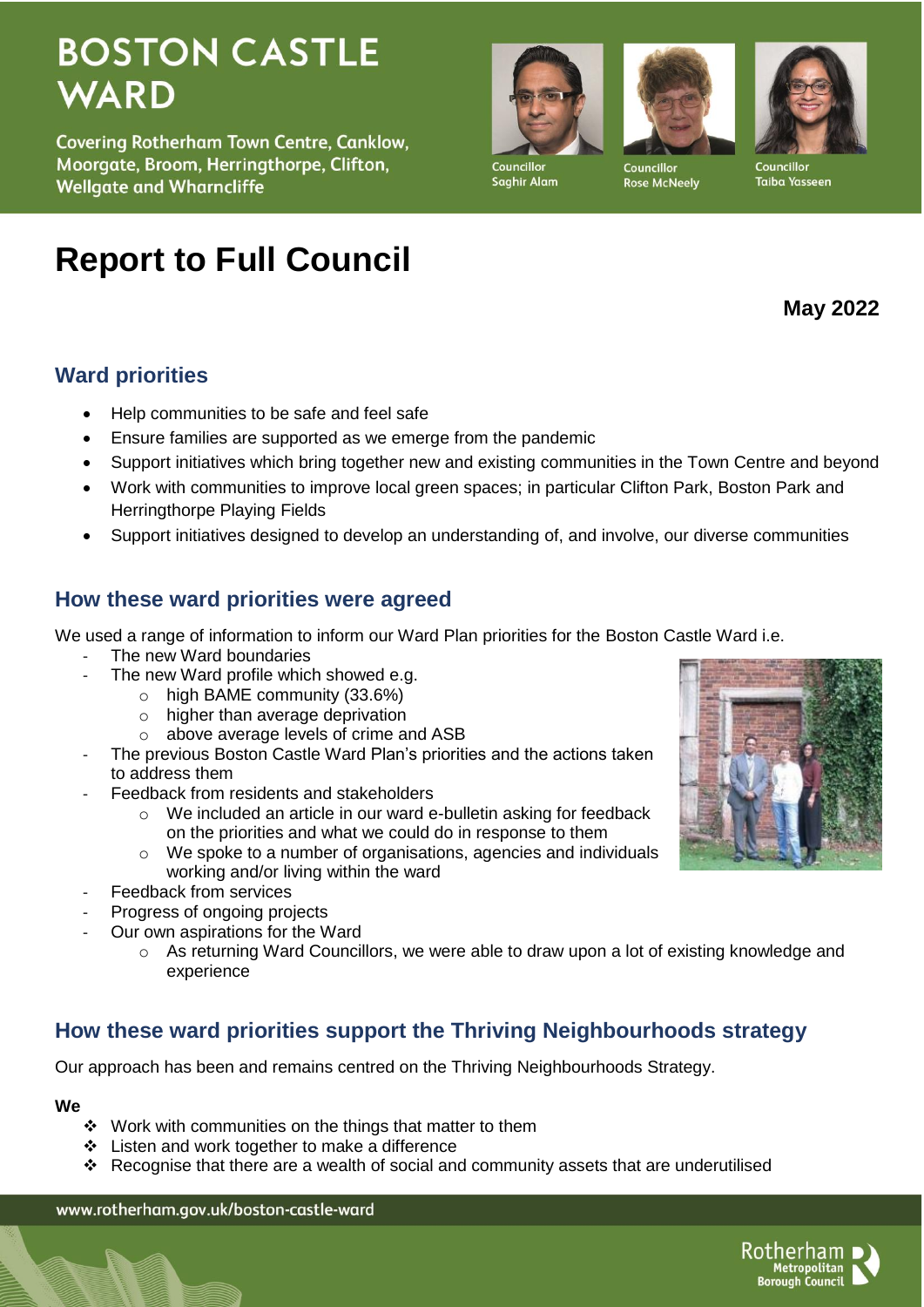# **BOSTON CASTLE WARD**

**Covering Rotherham Town Centre, Canklow,** Moorgate, Broom, Herringthorpe, Clifton, **Wellgate and Wharncliffe** 

# **Report to Full Council**

# **Ward priorities**

- Help communities to be safe and feel safe
- Ensure families are supported as we emerge from the pandemic
- Support initiatives which bring together new and existing communities in the Town Centre and beyond
- Work with communities to improve local green spaces; in particular Clifton Park, Boston Park and Herringthorpe Playing Fields
- Support initiatives designed to develop an understanding of, and involve, our diverse communities

# **How these ward priorities were agreed**

We used a range of information to inform our Ward Plan priorities for the Boston Castle Ward i.e.

- The new Ward boundaries
- The new Ward profile which showed e.g.
	- o high BAME community (33.6%)
	- o higher than average deprivation
	- o above average levels of crime and ASB
- The previous Boston Castle Ward Plan's priorities and the actions taken to address them
- Feedback from residents and stakeholders
	- o We included an article in our ward e-bulletin asking for feedback on the priorities and what we could do in response to them
	- o We spoke to a number of organisations, agencies and individuals working and/or living within the ward
- Feedback from services
- Progress of ongoing projects
- Our own aspirations for the Ward
	- o As returning Ward Councillors, we were able to draw upon a lot of existing knowledge and experience

# **How these ward priorities support the Thriving Neighbourhoods strategy**

Our approach has been and remains centred on the Thriving Neighbourhoods Strategy.

#### **We**

- $\cdot$  Work with communities on the things that matter to them
- Listen and work together to make a difference
- Recognise that there are a wealth of social and community assets that are underutilised

www.rotherham.gov.uk/boston-castle-ward



Metropolitan<br>Borough Council

Councillo Taiba Yasseen

**May 2022**







Councillor **Rose McNeelv**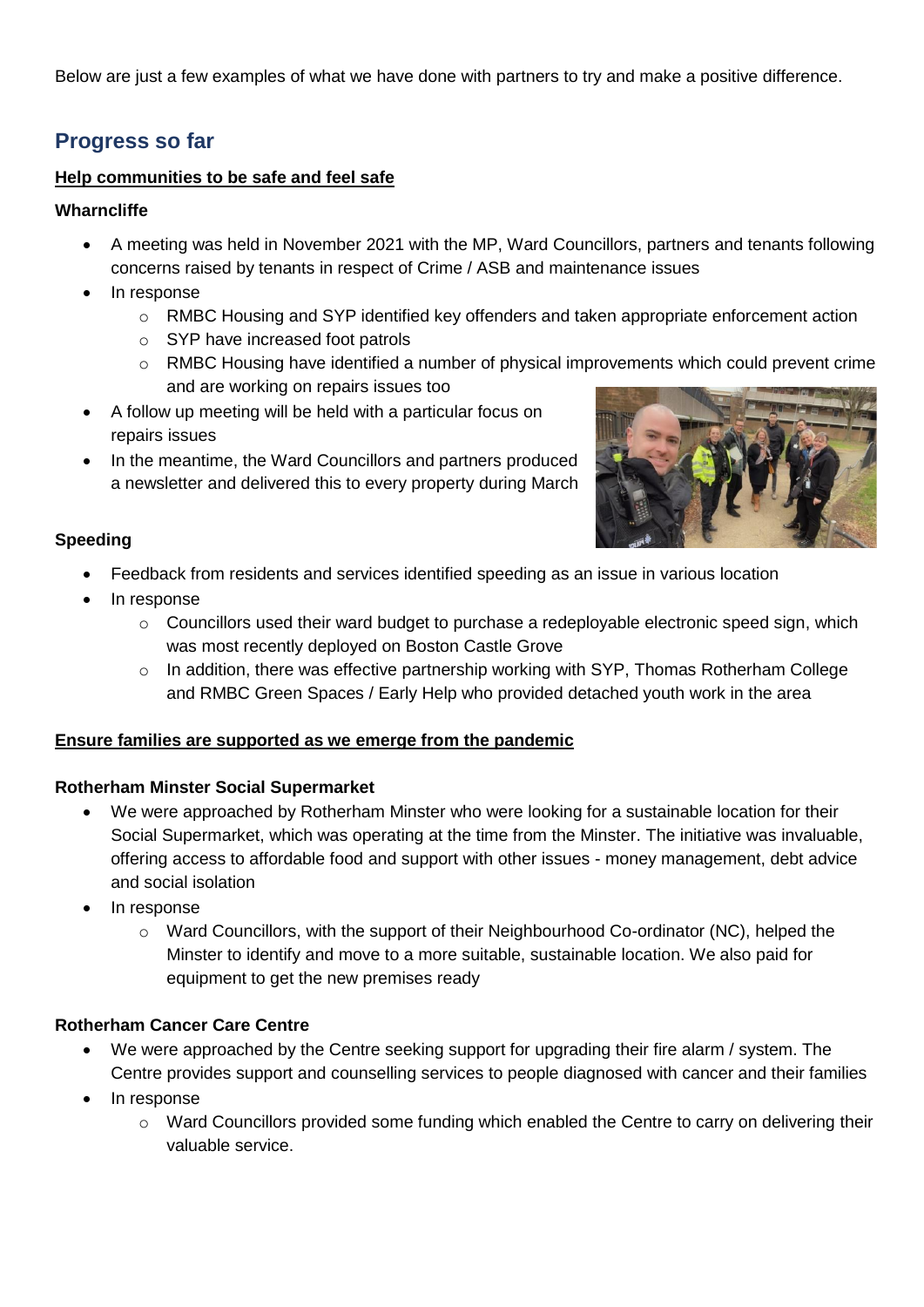Below are just a few examples of what we have done with partners to try and make a positive difference.

# **Progress so far**

#### **Help communities to be safe and feel safe**

#### **Wharncliffe**

- A meeting was held in November 2021 with the MP, Ward Councillors, partners and tenants following concerns raised by tenants in respect of Crime / ASB and maintenance issues
- In response
	- $\circ$  RMBC Housing and SYP identified key offenders and taken appropriate enforcement action
	- o SYP have increased foot patrols
	- $\circ$  RMBC Housing have identified a number of physical improvements which could prevent crime and are working on repairs issues too
- A follow up meeting will be held with a particular focus on repairs issues
- In the meantime, the Ward Councillors and partners produced a newsletter and delivered this to every property during March



#### **Speeding**

- Feedback from residents and services identified speeding as an issue in various location
- In response
	- $\circ$  Councillors used their ward budget to purchase a redeployable electronic speed sign, which was most recently deployed on Boston Castle Grove
	- o In addition, there was effective partnership working with SYP, Thomas Rotherham College and RMBC Green Spaces / Early Help who provided detached youth work in the area

#### **Ensure families are supported as we emerge from the pandemic**

#### **Rotherham Minster Social Supermarket**

- We were approached by Rotherham Minster who were looking for a sustainable location for their Social Supermarket, which was operating at the time from the Minster. The initiative was invaluable, offering access to affordable food and support with other issues - money management, debt advice and social isolation
- In response
	- $\circ$  Ward Councillors, with the support of their Neighbourhood Co-ordinator (NC), helped the Minster to identify and move to a more suitable, sustainable location. We also paid for equipment to get the new premises ready

#### **Rotherham Cancer Care Centre**

- We were approached by the Centre seeking support for upgrading their fire alarm / system. The Centre provides support and counselling services to people diagnosed with cancer and their families
- In response
	- o Ward Councillors provided some funding which enabled the Centre to carry on delivering their valuable service.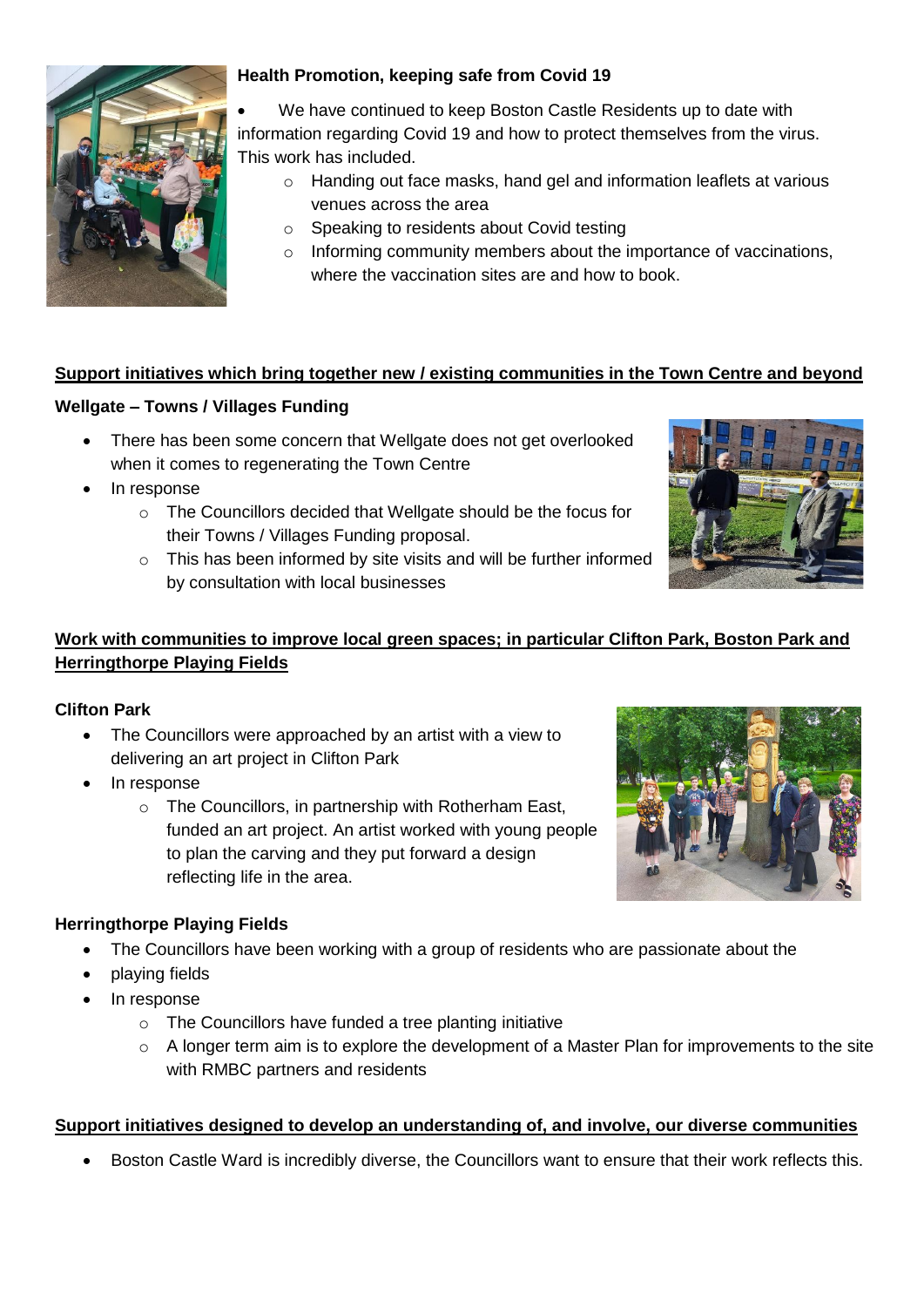

### **Health Promotion, keeping safe from Covid 19**

 We have continued to keep Boston Castle Residents up to date with information regarding Covid 19 and how to protect themselves from the virus. This work has included.

- o Handing out face masks, hand gel and information leaflets at various venues across the area
- o Speaking to residents about Covid testing
- o Informing community members about the importance of vaccinations, where the vaccination sites are and how to book.

# **Support initiatives which bring together new / existing communities in the Town Centre and beyond**

### **Wellgate – Towns / Villages Funding**

- There has been some concern that Wellgate does not get overlooked when it comes to regenerating the Town Centre
- In response
	- o The Councillors decided that Wellgate should be the focus for their Towns / Villages Funding proposal.
	- o This has been informed by site visits and will be further informed by consultation with local businesses



# **Work with communities to improve local green spaces; in particular Clifton Park, Boston Park and Herringthorpe Playing Fields**

#### **Clifton Park**

- The Councillors were approached by an artist with a view to delivering an art project in Clifton Park
- In response
	- o The Councillors, in partnership with Rotherham East, funded an art project. An artist worked with young people to plan the carving and they put forward a design reflecting life in the area.



#### **Herringthorpe Playing Fields**

- The Councillors have been working with a group of residents who are passionate about the
- playing fields
- In response
	- o The Councillors have funded a tree planting initiative
	- o A longer term aim is to explore the development of a Master Plan for improvements to the site with RMBC partners and residents

#### **Support initiatives designed to develop an understanding of, and involve, our diverse communities**

Boston Castle Ward is incredibly diverse, the Councillors want to ensure that their work reflects this.